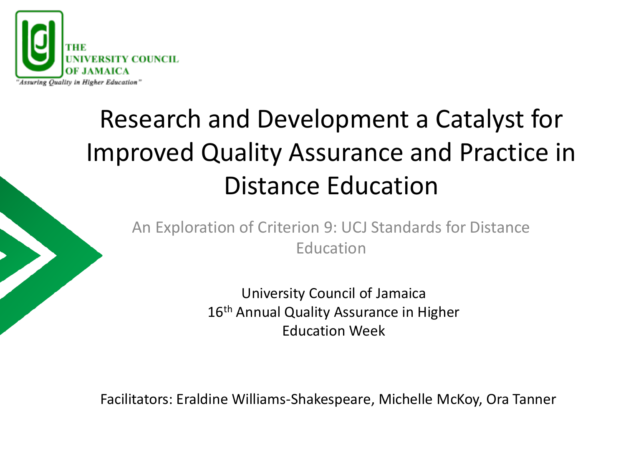

### Research and Development a Catalyst for Improved Quality Assurance and Practice in Distance Education

An Exploration of Criterion 9: UCJ Standards for Distance Education

> University Council of Jamaica 16<sup>th</sup> Annual Quality Assurance in Higher Education Week

Facilitators: Eraldine Williams-Shakespeare, Michelle McKoy, Ora Tanner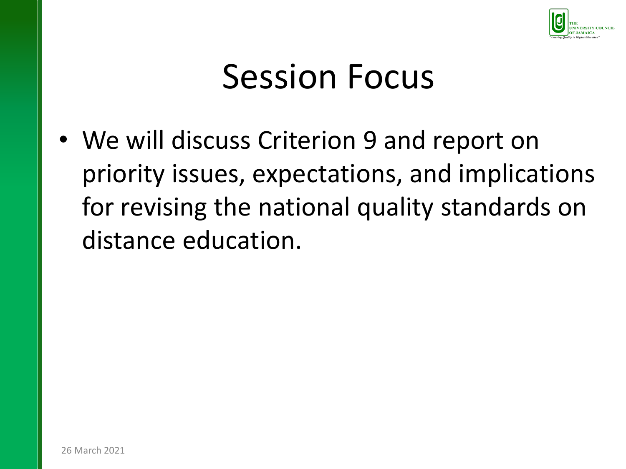

# Session Focus

• We will discuss Criterion 9 and report on priority issues, expectations, and implications for revising the national quality standards on distance education.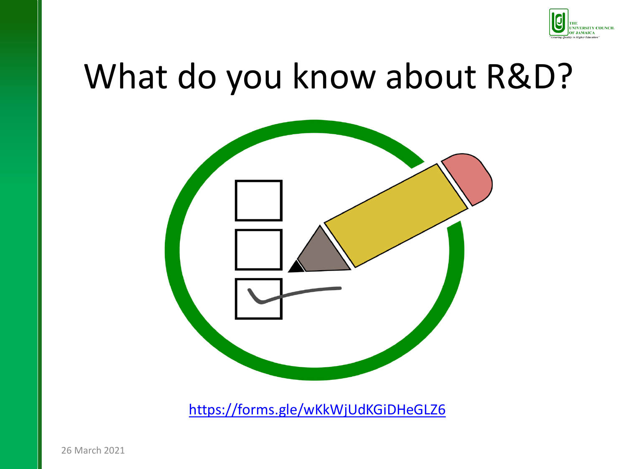

# What do you know about R&D?



<https://forms.gle/wKkWjUdKGiDHeGLZ6>

26 March 2021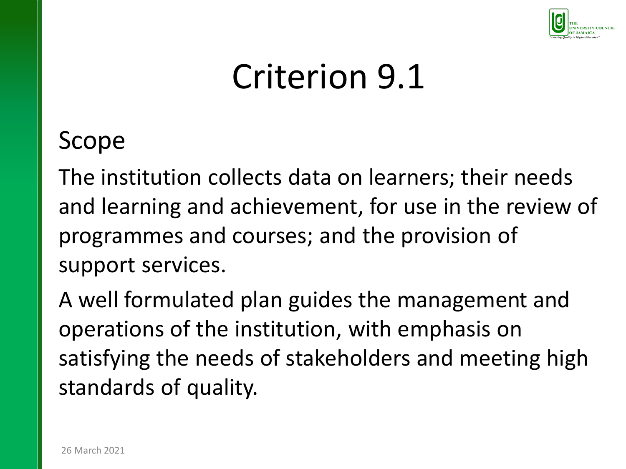

#### Scope

The institution collects data on learners; their needs and learning and achievement, for use in the review of programmes and courses; and the provision of support services.

A well formulated plan guides the management and operations of the institution, with emphasis on satisfying the needs of stakeholders and meeting high standards of quality.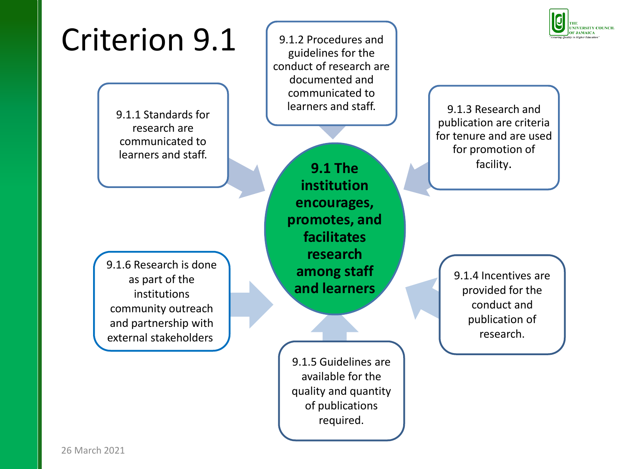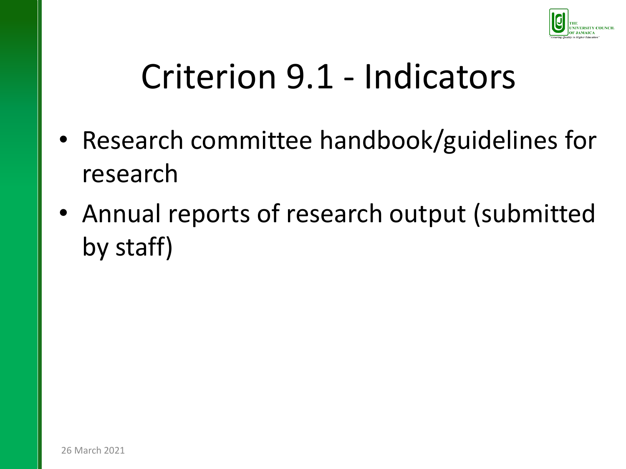

### Criterion 9.1 - Indicators

- Research committee handbook/guidelines for research
- Annual reports of research output (submitted by staff)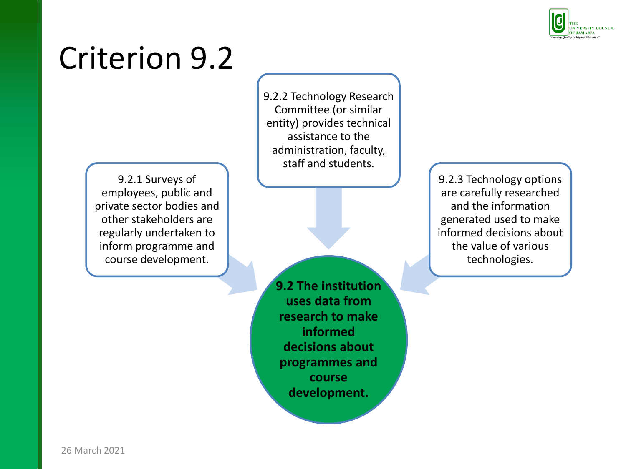

9.2.1 Surveys of employees, public and private sector bodies and other stakeholders are regularly undertaken to inform programme and course development.

9.2.2 Technology Research Committee (or similar entity) provides technical assistance to the administration, faculty, staff and students.

**9.2 The institution uses data from research to make informed decisions about programmes and course development.**

9.2.3 Technology options are carefully researched and the information generated used to make informed decisions about the value of various technologies.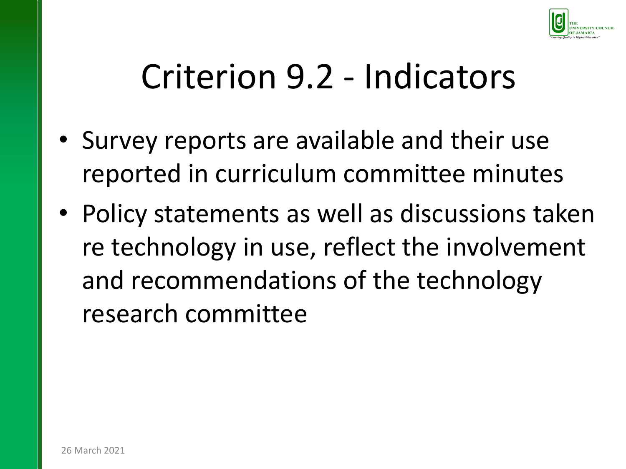

### Criterion 9.2 - Indicators

- Survey reports are available and their use reported in curriculum committee minutes
- Policy statements as well as discussions taken re technology in use, reflect the involvement and recommendations of the technology research committee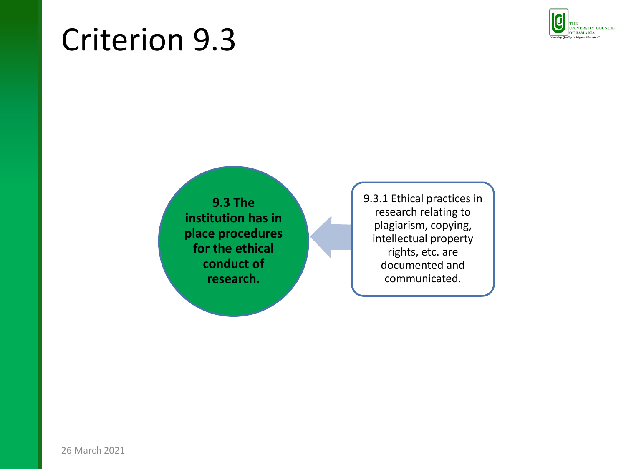

**9.3 The institution has in place procedures for the ethical conduct of research.**

9.3.1 Ethical practices in research relating to plagiarism, copying, intellectual property rights, etc. are documented and communicated.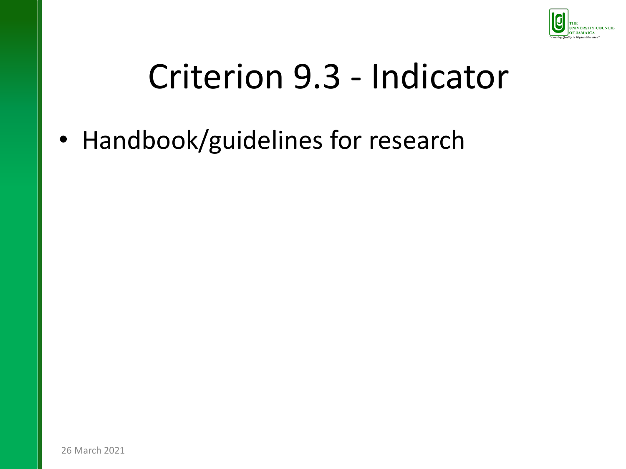

# Criterion 9.3 - Indicator

• Handbook/guidelines for research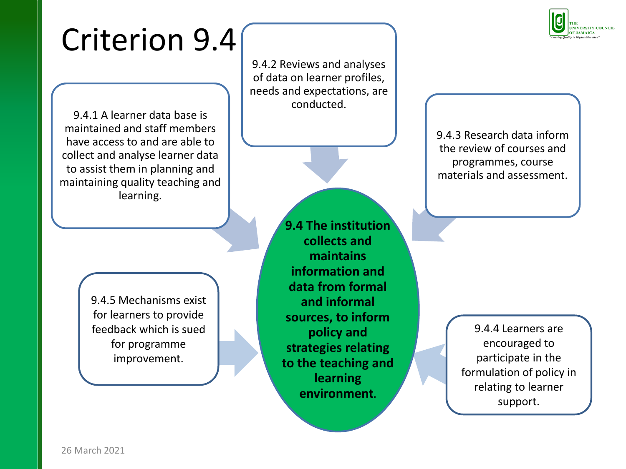9.4.2 Reviews and analyses of data on learner profiles, needs and expectations, are conducted.

9.4.1 A learner data base is maintained and staff members have access to and are able to collect and analyse learner data to assist them in planning and maintaining quality teaching and learning.

> 9.4.5 Mechanisms exist for learners to provide feedback which is sued for programme improvement.

**9.4 The institution collects and maintains information and data from formal and informal sources, to inform policy and strategies relating to the teaching and learning environment.**

9.4.3 Research data inform the review of courses and programmes, course materials and assessment.

> 9.4.4 Learners are encouraged to participate in the formulation of policy in relating to learner support.

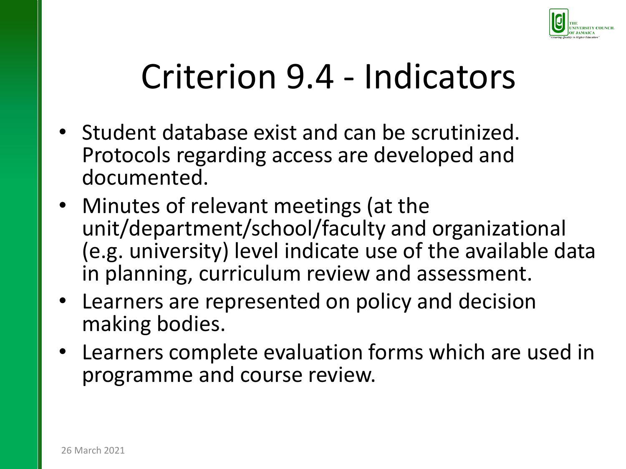

# Criterion 9.4 - Indicators

- Student database exist and can be scrutinized. Protocols regarding access are developed and documented.
- Minutes of relevant meetings (at the unit/department/school/faculty and organizational (e.g. university) level indicate use of the available data in planning, curriculum review and assessment.
- Learners are represented on policy and decision making bodies.
- Learners complete evaluation forms which are used in programme and course review.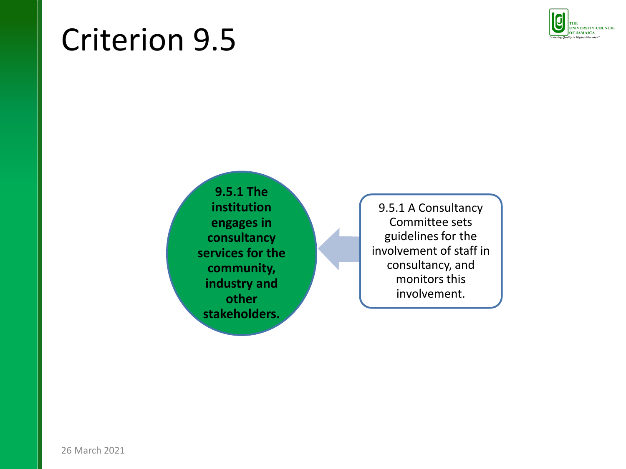

**9.5.1 The institution engages in consultancy services for the community, industry and other stakeholders.**

9.5.1 A Consultancy Committee sets guidelines for the involvement of staff in consultancy, and monitors this involvement.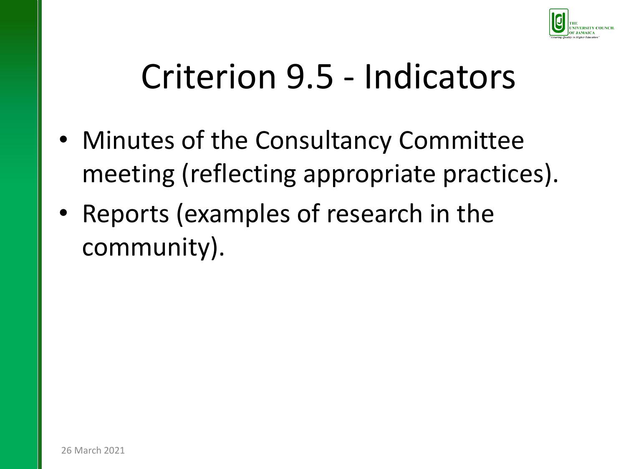

# Criterion 9.5 - Indicators

- Minutes of the Consultancy Committee meeting (reflecting appropriate practices).
- Reports (examples of research in the community).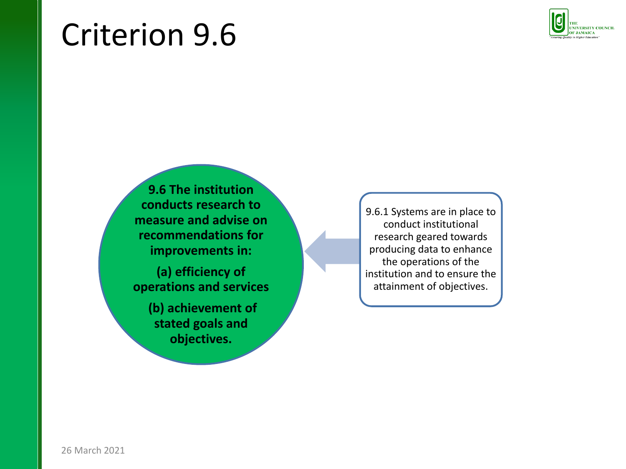

**9.6 The institution conducts research to measure and advise on recommendations for improvements in:** 

**(a) efficiency of operations and services**

> **(b) achievement of stated goals and objectives.**

9.6.1 Systems are in place to conduct institutional research geared towards producing data to enhance the operations of the institution and to ensure the attainment of objectives.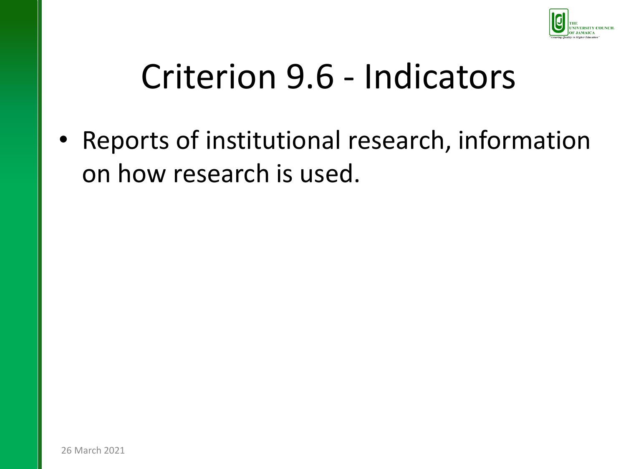

### Criterion 9.6 - Indicators

• Reports of institutional research, information on how research is used.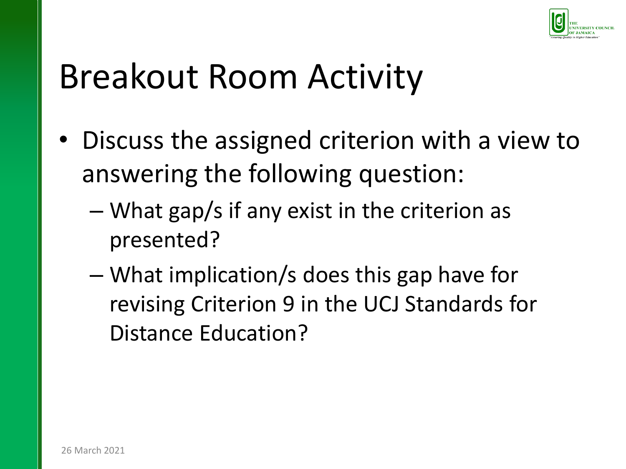

### Breakout Room Activity

- Discuss the assigned criterion with a view to answering the following question:
	- What gap/s if any exist in the criterion as presented?
	- What implication/s does this gap have for revising Criterion 9 in the UCJ Standards for Distance Education?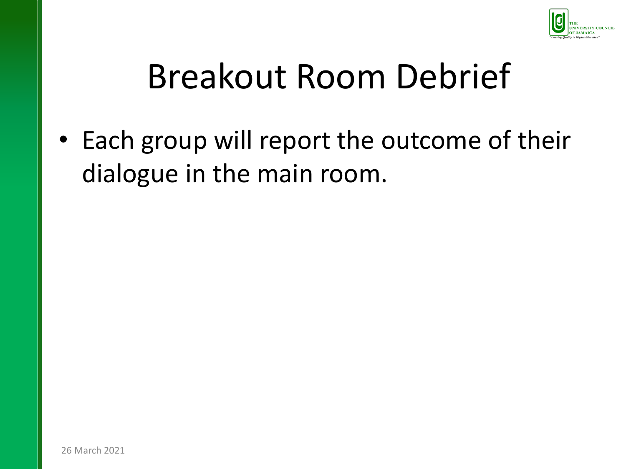

# Breakout Room Debrief

• Each group will report the outcome of their dialogue in the main room.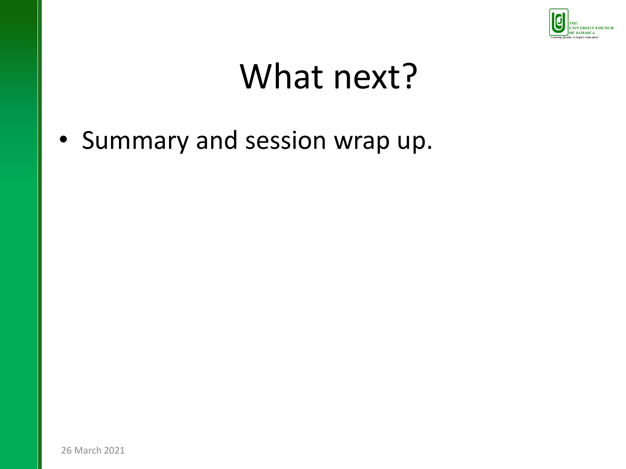

# What next?

• Summary and session wrap up.